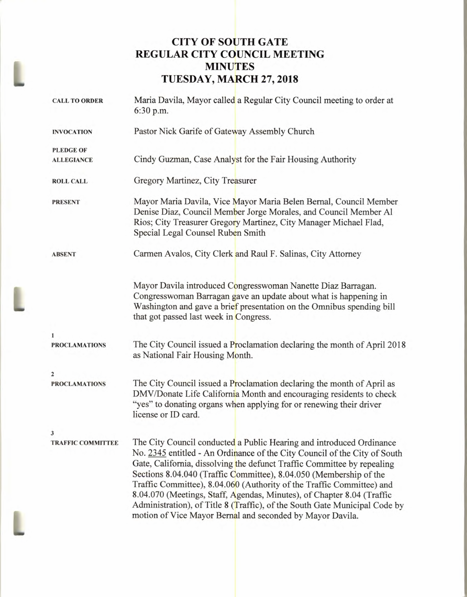# **CITY OF SOUTH GATE REGULAR CITY COUNCIL MEETING MINUTES TUESDAY, MARCH 27, 2018**

| Maria Davila, Mayor called a Regular City Council meeting to order at<br>6:30 p.m.                                                                                                                                                                                                                                                                                                                                                                                                                                                                                                               |  |  |
|--------------------------------------------------------------------------------------------------------------------------------------------------------------------------------------------------------------------------------------------------------------------------------------------------------------------------------------------------------------------------------------------------------------------------------------------------------------------------------------------------------------------------------------------------------------------------------------------------|--|--|
| Pastor Nick Garife of Gateway Assembly Church                                                                                                                                                                                                                                                                                                                                                                                                                                                                                                                                                    |  |  |
|                                                                                                                                                                                                                                                                                                                                                                                                                                                                                                                                                                                                  |  |  |
| Cindy Guzman, Case Analyst for the Fair Housing Authority                                                                                                                                                                                                                                                                                                                                                                                                                                                                                                                                        |  |  |
| Gregory Martinez, City Treasurer                                                                                                                                                                                                                                                                                                                                                                                                                                                                                                                                                                 |  |  |
| Mayor Maria Davila, Vice Mayor Maria Belen Bernal, Council Member<br>Denise Diaz, Council Member Jorge Morales, and Council Member Al<br>Rios; City Treasurer Gregory Martinez, City Manager Michael Flad,<br>Special Legal Counsel Ruben Smith                                                                                                                                                                                                                                                                                                                                                  |  |  |
| Carmen Avalos, City Clerk and Raul F. Salinas, City Attorney                                                                                                                                                                                                                                                                                                                                                                                                                                                                                                                                     |  |  |
| Mayor Davila introduced Congresswoman Nanette Diaz Barragan.<br>Congresswoman Barragan gave an update about what is happening in<br>Washington and gave a brief presentation on the Omnibus spending bill<br>that got passed last week in Congress.                                                                                                                                                                                                                                                                                                                                              |  |  |
|                                                                                                                                                                                                                                                                                                                                                                                                                                                                                                                                                                                                  |  |  |
| The City Council issued a Proclamation declaring the month of April 2018<br>as National Fair Housing Month.                                                                                                                                                                                                                                                                                                                                                                                                                                                                                      |  |  |
|                                                                                                                                                                                                                                                                                                                                                                                                                                                                                                                                                                                                  |  |  |
| The City Council issued a Proclamation declaring the month of April as<br><b>PROCLAMATIONS</b><br>DMV/Donate Life California Month and encouraging residents to check<br>"yes" to donating organs when applying for or renewing their driver<br>license or ID card.                                                                                                                                                                                                                                                                                                                              |  |  |
|                                                                                                                                                                                                                                                                                                                                                                                                                                                                                                                                                                                                  |  |  |
| The City Council conducted a Public Hearing and introduced Ordinance<br>No. 2345 entitled - An Ordinance of the City Council of the City of South<br>Gate, California, dissolving the defunct Traffic Committee by repealing<br>Sections 8.04.040 (Traffic Committee), 8.04.050 (Membership of the<br>Traffic Committee), 8.04.060 (Authority of the Traffic Committee) and<br>8.04.070 (Meetings, Staff, Agendas, Minutes), of Chapter 8.04 (Traffic<br>Administration), of Title 8 (Traffic), of the South Gate Municipal Code by<br>motion of Vice Mayor Bernal and seconded by Mayor Davila. |  |  |
|                                                                                                                                                                                                                                                                                                                                                                                                                                                                                                                                                                                                  |  |  |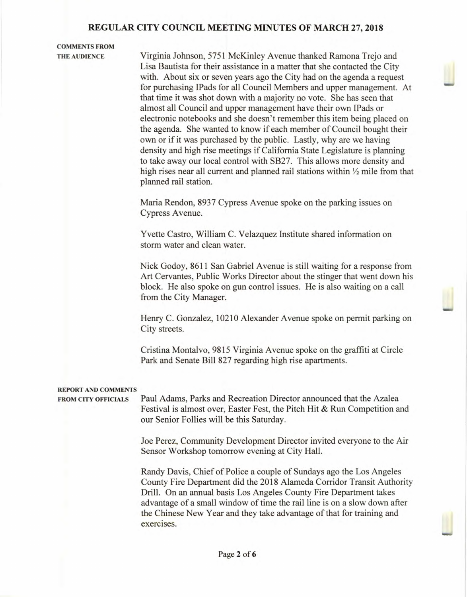**COMMENTS FROM** 

**THE AUDIENCE** Virginia Johnson, 5751 McKinley Avenue thanked Ramona Trejo and Lisa Bautista for their assistance in a matter that she contacted the City with. About six or seven years ago the City had on the agenda a request for purchasing IPads for all Council Members and upper management. At that time it was shot down with a majority no vote. She has seen that almost all Council and upper management have their own IPads or electronic notebooks and she doesn't remember this item being placed on the agenda. She wanted to know if each member of Council bought their own or if it was purchased by the public. Lastly, why are we having density and high rise meetings if California State Legislature is planning to take away our local control with SB27. This allows more density and high rises near all current and planned rail stations within  $\frac{1}{2}$  mile from that planned rail station.

> Maria Rendon, 8937 Cypress Avenue spoke on the parking issues on Cypress Avenue.

> Yvette Castro, William C. Velazquez Institute shared information on storm water and clean water.

Nick Godoy, 8611 San Gabriel Avenue is still waiting for a response from Art Cervantes, Public Works Director about the stinger that went down his block. He also spoke on gun control issues. He is also waiting on a call from the City Manager.

Henry C. Gonzalez, 10210 Alexander Avenue spoke on permit parking on City streets.

Cristina Montalvo, 9815 Virginia Avenue spoke on the graffiti at Circle Park and Senate Bill 827 regarding high rise apartments.

### **REPORT AND COMMENTS**

**FROM CITY OFFICIALS** Paul Adams, Parks and Recreation Director announced that the Azalea Festival is almost over, Easter Fest, the Pitch Hit & Run Competition and our Senior Follies will be this Saturday.

> Joe Perez, Community Development Director invited everyone to the Air Sensor Workshop tomorrow evening at City Hall.

Randy Davis, Chief of Police a couple of Sundays ago the Los Angeles County Fire Department did the 2018 Alameda Corridor Transit Authority Drill. On an annual basis Los Angeles County Fire Department takes advantage of a small window of time the rail line is on a slow down after the Chinese New Year and they take advantage of that for training and exercises.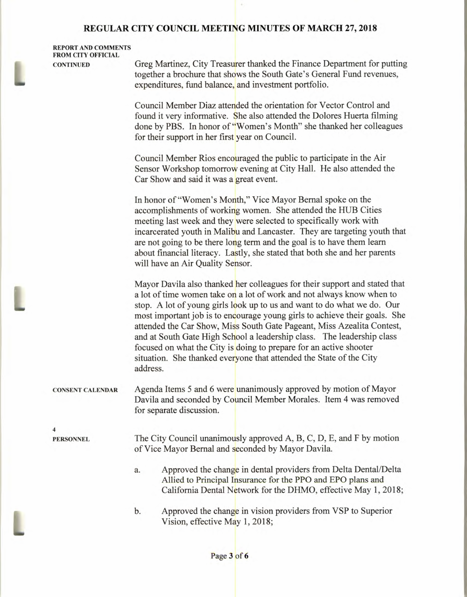| <b>REPORT AND COMMENTS</b> |
|----------------------------|
| <b>FROM CITY OFFICIAL</b>  |
| <b>CONTINUED</b>           |

Greg Martinez, City Treasurer thanked the Finance Department for putting together a brochure that shows the South Gate's General Fund revenues, expenditures, fund balance, and investment portfolio.

Council Member Diaz attended the orientation for Vector Control and found it very informative. She also attended the Dolores Huerta filming done by PBS. In honor of "Women's Month" she thanked her colleagues for their support in her first year on Council.

Council Member Rios encouraged the public to participate in the Air Sensor Workshop tomorrow evening at City Hall. He also attended the Car Show and said it was a great event.

In honor of "Women's Month," Vice Mayor Bernal spoke on the accomplishments of working women. She attended the HUB Cities meeting last week and they were selected to specifically work with incarcerated youth in Malibu and Lancaster. They are targeting youth that are not going to be there long term and the goal is to have them learn about financial literacy. Lastly, she stated that both she and her parents will have an Air Quality Sensor.

Mayor Davila also thanked her colleagues for their support and stated that a lot of time women take on a lot of work and not always know when to stop. A lot of young girls look up to us and want to do what we do. Our most important job is to encourage young girls to achieve their goals. She attended the Car Show, Miss South Gate Pageant, Miss Azealita Contest, and at South Gate High School a leadership class. The leadership class focused on what the City is doing to prepare for an active shooter situation. She thanked everyone that attended the State of the City address.

**CONSENT CALENDAR** Agenda Items 5 and 6 were unanimously approved by motion of Mayor Davila and seconded by Council Member Morales. Item 4 was removed for separate discussion.

**4** 

**PERSONNEL** The City Council unanimously approved A, B, C, D, E, and F by motion of Vice Mayor Bernal and seconded by Mayor Davila.

- a. Approved the change in dental providers from Delta Dental/Delta Allied to Principal Insurance for the PPO and EPO plans and California Dental Network for the DHMO, effective May 1, 2018;
- b. Approved the change in vision providers from VSP to Superior Vision, effective May 1, 2018;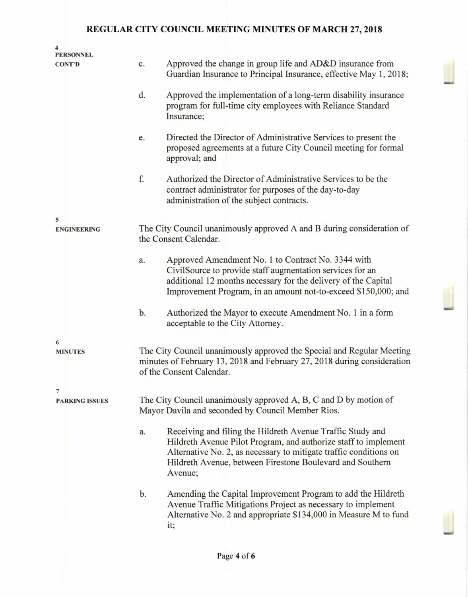| 4<br>PERSONNEL.       |                                                                                                                                                                              |                                                                                                                                                                                                                                                                            |  |  |  |
|-----------------------|------------------------------------------------------------------------------------------------------------------------------------------------------------------------------|----------------------------------------------------------------------------------------------------------------------------------------------------------------------------------------------------------------------------------------------------------------------------|--|--|--|
| <b>CONT'D</b>         | c.                                                                                                                                                                           | Approved the change in group life and AD&D insurance from<br>Guardian Insurance to Principal Insurance, effective May 1, 2018;                                                                                                                                             |  |  |  |
|                       | d.                                                                                                                                                                           | Approved the implementation of a long-term disability insurance<br>program for full-time city employees with Reliance Standard<br>Insurance;                                                                                                                               |  |  |  |
|                       | e.                                                                                                                                                                           | Directed the Director of Administrative Services to present the<br>proposed agreements at a future City Council meeting for formal<br>approval; and                                                                                                                        |  |  |  |
|                       | f.                                                                                                                                                                           | Authorized the Director of Administrative Services to be the<br>contract administrator for purposes of the day-to-day<br>administration of the subject contracts.                                                                                                          |  |  |  |
| 5                     |                                                                                                                                                                              |                                                                                                                                                                                                                                                                            |  |  |  |
| <b>ENGINEERING</b>    |                                                                                                                                                                              | The City Council unanimously approved A and B during consideration of<br>the Consent Calendar.                                                                                                                                                                             |  |  |  |
|                       | a.                                                                                                                                                                           | Approved Amendment No. 1 to Contract No. 3344 with<br>CivilSource to provide staff augmentation services for an<br>additional 12 months necessary for the delivery of the Capital<br>Improvement Program, in an amount not-to-exceed \$150,000; and                        |  |  |  |
|                       | b.                                                                                                                                                                           | Authorized the Mayor to execute Amendment No. 1 in a form<br>acceptable to the City Attorney.                                                                                                                                                                              |  |  |  |
| 6                     |                                                                                                                                                                              |                                                                                                                                                                                                                                                                            |  |  |  |
| <b>MINUTES</b>        | The City Council unanimously approved the Special and Regular Meeting<br>minutes of February 13, 2018 and February 27, 2018 during consideration<br>of the Consent Calendar. |                                                                                                                                                                                                                                                                            |  |  |  |
| $\overline{7}$        |                                                                                                                                                                              |                                                                                                                                                                                                                                                                            |  |  |  |
| <b>PARKING ISSUES</b> | The City Council unanimously approved A, B, C and D by motion of<br>Mayor Davila and seconded by Council Member Rios.                                                        |                                                                                                                                                                                                                                                                            |  |  |  |
|                       | a.                                                                                                                                                                           | Receiving and filing the Hildreth Avenue Traffic Study and<br>Hildreth Avenue Pilot Program, and authorize staff to implement<br>Alternative No. 2, as necessary to mitigate traffic conditions on<br>Hildreth Avenue, between Firestone Boulevard and Southern<br>Avenue; |  |  |  |
|                       | b.                                                                                                                                                                           | Amending the Capital Improvement Program to add the Hildreth<br>Avenue Traffic Mitigations Project as necessary to implement<br>Alternative No. 2 and appropriate \$134,000 in Measure M to fund<br>it;                                                                    |  |  |  |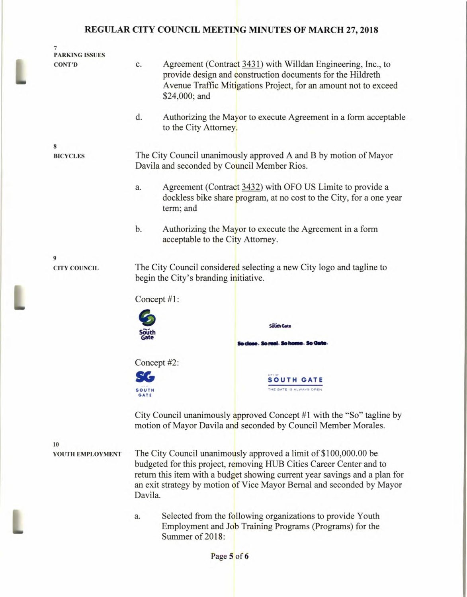| 7<br><b>PARKING ISSUES</b> |                                                                                                                                                                                                                                                                                                           |                                                                                                                                          |                                                                                                                                                                                               |  |  |
|----------------------------|-----------------------------------------------------------------------------------------------------------------------------------------------------------------------------------------------------------------------------------------------------------------------------------------------------------|------------------------------------------------------------------------------------------------------------------------------------------|-----------------------------------------------------------------------------------------------------------------------------------------------------------------------------------------------|--|--|
| <b>CONT'D</b>              | c.                                                                                                                                                                                                                                                                                                        | \$24,000; and                                                                                                                            | Agreement (Contract 3431) with Willdan Engineering, Inc., to<br>provide design and construction documents for the Hildreth<br>Avenue Traffic Mitigations Project, for an amount not to exceed |  |  |
|                            | d.                                                                                                                                                                                                                                                                                                        | to the City Attorney.                                                                                                                    | Authorizing the Mayor to execute Agreement in a form acceptable                                                                                                                               |  |  |
| 8                          |                                                                                                                                                                                                                                                                                                           |                                                                                                                                          |                                                                                                                                                                                               |  |  |
| <b>BICYCLES</b>            |                                                                                                                                                                                                                                                                                                           | Davila and seconded by Council Member Rios.                                                                                              | The City Council unanimously approved A and B by motion of Mayor                                                                                                                              |  |  |
|                            | a.                                                                                                                                                                                                                                                                                                        | term; and                                                                                                                                | Agreement (Contract 3432) with OFO US Limite to provide a<br>dockless bike share program, at no cost to the City, for a one year                                                              |  |  |
|                            | b.                                                                                                                                                                                                                                                                                                        | acceptable to the City Attorney.                                                                                                         | Authorizing the Mayor to execute the Agreement in a form                                                                                                                                      |  |  |
| 9                          |                                                                                                                                                                                                                                                                                                           |                                                                                                                                          |                                                                                                                                                                                               |  |  |
| <b>CITY COUNCIL</b>        | The City Council considered selecting a new City logo and tagline to<br>begin the City's branding initiative.                                                                                                                                                                                             |                                                                                                                                          |                                                                                                                                                                                               |  |  |
|                            |                                                                                                                                                                                                                                                                                                           | Concept #1:                                                                                                                              |                                                                                                                                                                                               |  |  |
|                            |                                                                                                                                                                                                                                                                                                           |                                                                                                                                          | South Gate                                                                                                                                                                                    |  |  |
|                            | South                                                                                                                                                                                                                                                                                                     |                                                                                                                                          | o close . So real. So home . So Gate                                                                                                                                                          |  |  |
|                            |                                                                                                                                                                                                                                                                                                           | Concept #2:                                                                                                                              |                                                                                                                                                                                               |  |  |
|                            |                                                                                                                                                                                                                                                                                                           |                                                                                                                                          |                                                                                                                                                                                               |  |  |
|                            |                                                                                                                                                                                                                                                                                                           |                                                                                                                                          | <b>SOUTH GATE</b>                                                                                                                                                                             |  |  |
|                            | <b>SOUTH</b><br><b>GATE</b>                                                                                                                                                                                                                                                                               |                                                                                                                                          | THE GATE IS ALWAYS OPEN                                                                                                                                                                       |  |  |
|                            |                                                                                                                                                                                                                                                                                                           | City Council unanimously approved Concept #1 with the "So" tagline by<br>motion of Mayor Davila and seconded by Council Member Morales.  |                                                                                                                                                                                               |  |  |
| 10                         |                                                                                                                                                                                                                                                                                                           |                                                                                                                                          |                                                                                                                                                                                               |  |  |
| YOUTH EMPLOYMENT           | The City Council unanimously approved a limit of \$100,000.00 be<br>budgeted for this project, removing HUB Cities Career Center and to<br>return this item with a budget showing current year savings and a plan for<br>an exit strategy by motion of Vice Mayor Bernal and seconded by Mayor<br>Davila. |                                                                                                                                          |                                                                                                                                                                                               |  |  |
|                            | a.                                                                                                                                                                                                                                                                                                        | Selected from the following organizations to provide Youth<br>Employment and Job Training Programs (Programs) for the<br>Summer of 2018: |                                                                                                                                                                                               |  |  |
|                            |                                                                                                                                                                                                                                                                                                           |                                                                                                                                          |                                                                                                                                                                                               |  |  |